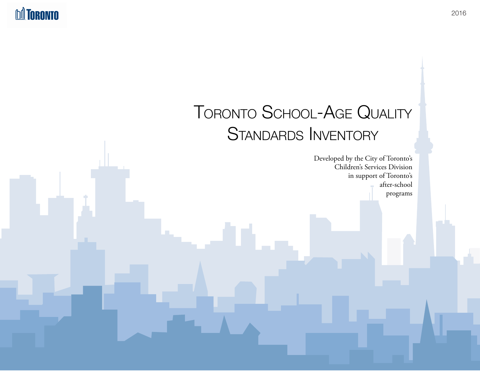**DA TORONTO** 

# Toronto School-Age Quality STANDARDS INVENTORY

Developed by the City of Toronto's Children's Services Division in support of Toronto's after-school programs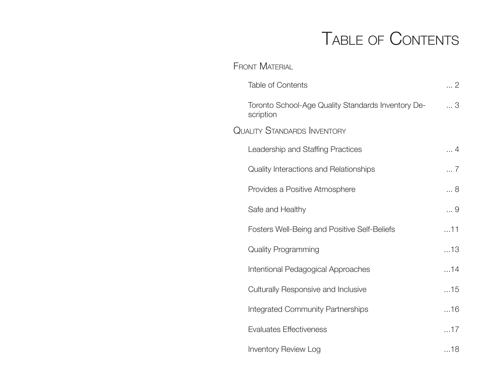# Table of Contents

| <b>FRONT MATERIAL</b>                                           |            |
|-----------------------------------------------------------------|------------|
| <b>Table of Contents</b>                                        | 2          |
| Toronto School-Age Quality Standards Inventory De-<br>scription | 3          |
| <b>QUALITY STANDARDS INVENTORY</b>                              |            |
| Leadership and Staffing Practices                               | $\dots$ 4  |
| Quality Interactions and Relationships                          | 7          |
| Provides a Positive Atmosphere                                  | 8          |
| Safe and Healthy                                                | 9          |
| <b>Fosters Well-Being and Positive Self-Beliefs</b>             | $\dots 11$ |
| <b>Quality Programming</b>                                      | 13         |
| Intentional Pedagogical Approaches                              | 14         |
| <b>Culturally Responsive and Inclusive</b>                      | 15         |
| <b>Integrated Community Partnerships</b>                        | $\dots$ 16 |
| <b>Evaluates Effectiveness</b>                                  | $\dots$ 17 |
| <b>Inventory Review Log</b>                                     | $\dots$ 18 |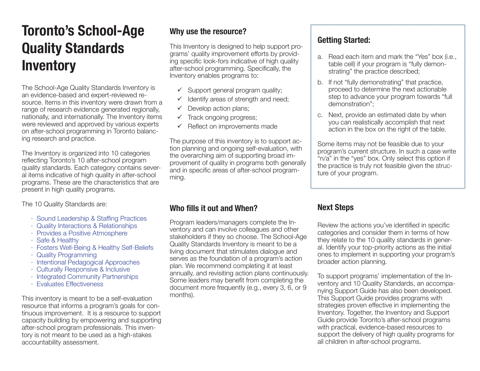### **Toronto's School-Age Quality Standards Inventory**

The School-Age Quality Standards Inventory is an evidence-based and expert-reviewed resource. Items in this inventory were drawn from a range of research evidence generated regionally, nationally, and internationally. The Inventory items were reviewed and approved by various experts on after-school programming in Toronto balancing research and practice.

The Inventory is organized into 10 categories reflecting Toronto's 10 after-school program quality standards. Each category contains several items indicative of high quality in after-school programs. These are the characteristics that are present in high quality programs.

The 10 Quality Standards are:

- ‧ Sound Leadership & Staffing Practices
- ‧ Quality Interactions & Relationships
- ‧ Provides a Positive Atmosphere
- ‧ Safe & Healthy
- ‧ Fosters Well-Being & Healthy Self-Beliefs
- ‧ Quality Programming
- ‧ Intentional Pedagogical Approaches
- ‧ Culturally Responsive & Inclusive
- ‧ Integrated Community Partnerships
- ‧ Evaluates Effectiveness

This inventory is meant to be a self-evaluation resource that informs a program's goals for continuous improvement. It is a resource to support capacity building by empowering and supporting after-school program professionals. This inventory is not meant to be used as a high-stakes accountability assessment.

#### **Why use the resource?**

This Inventory is designed to help support programs' quality improvement efforts by providing specific look-fors indicative of high quality after-school programming. Specifically, the Inventory enables programs to:

- $\checkmark$  Support general program quality;
- $\checkmark$  Identify areas of strength and need;
- $\checkmark$  Develop action plans;
- $\checkmark$  Track ongoing progress;
- $\checkmark$  Reflect on improvements made

The purpose of this inventory is to support action planning and ongoing self-evaluation, with the overarching aim of supporting broad improvement of quality in programs both generally and in specific areas of after-school programming.

#### **Who fills it out and When?**

Program leaders/managers complete the Inventory and can involve colleagues and other stakeholders if they so choose. The School-Age Quality Standards Inventory is meant to be a living document that stimulates dialogue and serves as the foundation of a program's action plan. We recommend completing it at least annually, and revisiting action plans continuously. Some leaders may benefit from completing the document more frequently (e.g., every 3, 6, or 9 months).

#### **Getting Started:**

- a. Read each item and mark the "Yes" box (i.e., table cell) if your program is "fully demonstrating" the practice described;
- b. If not "fully demonstrating" that practice, proceed to determine the next actionable step to advance your program towards "full demonstration";
- c. Next, provide an estimated date by when you can realistically accomplish that next action in the box on the right of the table.

Some items may not be feasible due to your program's current structure. In such a case write "n/a" in the "yes" box. Only select this option if the practice is truly not feasible given the structure of your program.

#### **Next Steps**

Review the actions you've identified in specific categories and consider them in terms of how they relate to the 10 quality standards in general. Identify your top-priority actions as the initial ones to implement in supporting your program's broader action planning.

To support programs' implementation of the Inventory and 10 Quality Standards, an accompanying Support Guide has also been developed. This Support Guide provides programs with strategies proven effective in implementing the Inventory. Together, the Inventory and Support Guide provide Toronto's after-school programs with practical, evidence-based resources to support the delivery of high quality programs for all children in after-school programs.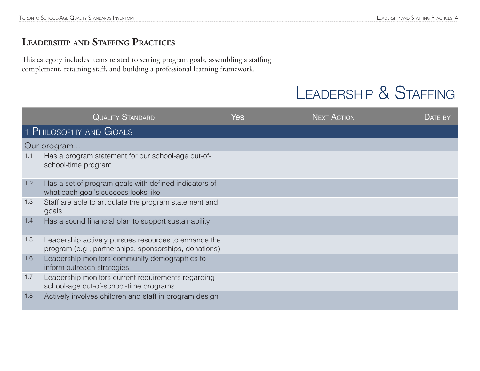#### **Leadership and Staffing Practices**

This category includes items related to setting program goals, assembling a staffing complement, retaining staff, and building a professional learning framework.

### LEADERSHIP & STAFFING

|     | <b>QUALITY STANDARD</b>                                                                                       | Yes | <b>NEXT ACTION</b> | DATE BY |
|-----|---------------------------------------------------------------------------------------------------------------|-----|--------------------|---------|
|     | 1 PHILOSOPHY AND GOALS                                                                                        |     |                    |         |
|     | Our program                                                                                                   |     |                    |         |
| 1.1 | Has a program statement for our school-age out-of-<br>school-time program                                     |     |                    |         |
| 1.2 | Has a set of program goals with defined indicators of<br>what each goal's success looks like                  |     |                    |         |
| 1.3 | Staff are able to articulate the program statement and<br>goals                                               |     |                    |         |
| 1.4 | Has a sound financial plan to support sustainability                                                          |     |                    |         |
| 1.5 | Leadership actively pursues resources to enhance the<br>program (e.g., partnerships, sponsorships, donations) |     |                    |         |
| 1.6 | Leadership monitors community demographics to<br>inform outreach strategies                                   |     |                    |         |
| 1.7 | Leadership monitors current requirements regarding<br>school-age out-of-school-time programs                  |     |                    |         |
| 1.8 | Actively involves children and staff in program design                                                        |     |                    |         |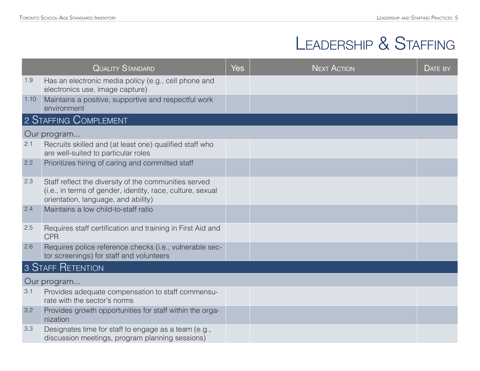## Leadership & Staffing

|      | <b>QUALITY STANDARD</b>                                                                                                                                    | <b>Yes</b> | <b>NEXT ACTION</b> | DATE BY |
|------|------------------------------------------------------------------------------------------------------------------------------------------------------------|------------|--------------------|---------|
| 1.9  | Has an electronic media policy (e.g., cell phone and<br>electronics use, image capture)                                                                    |            |                    |         |
| 1.10 | Maintains a positive, supportive and respectful work<br>environment                                                                                        |            |                    |         |
|      | 2 STAFFING COMPLEMENT                                                                                                                                      |            |                    |         |
|      | Our program                                                                                                                                                |            |                    |         |
| 2.1  | Recruits skilled and (at least one) qualified staff who<br>are well-suited to particular roles                                                             |            |                    |         |
| 2.2  | Prioritizes hiring of caring and committed staff                                                                                                           |            |                    |         |
| 2.3  | Staff reflect the diversity of the communities served<br>(i.e., in terms of gender, identity, race, culture, sexual<br>orientation, language, and ability) |            |                    |         |
| 2.4  | Maintains a low child-to-staff ratio                                                                                                                       |            |                    |         |
| 2.5  | Requires staff certification and training in First Aid and<br><b>CPR</b>                                                                                   |            |                    |         |
| 2.6  | Requires police reference checks (i.e., vulnerable sec-<br>tor screenings) for staff and volunteers                                                        |            |                    |         |
|      | 3 STAFF RETENTION                                                                                                                                          |            |                    |         |
|      | Our program                                                                                                                                                |            |                    |         |
| 3.1  | Provides adequate compensation to staff commensu-<br>rate with the sector's norms                                                                          |            |                    |         |
| 3.2  | Provides growth opportunities for staff within the orga-<br>nization                                                                                       |            |                    |         |
| 3.3  | Designates time for staff to engage as a team (e.g.,<br>discussion meetings, program planning sessions)                                                    |            |                    |         |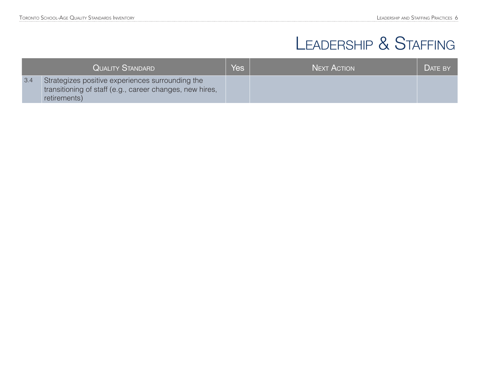## LEADERSHIP & STAFFING

|     | <b>QUALITY STANDARD</b>                                                                                                      | Yes <sup>1</sup> | <b>NEXT ACTION</b> | DATE BY |
|-----|------------------------------------------------------------------------------------------------------------------------------|------------------|--------------------|---------|
| 3.4 | Strategizes positive experiences surrounding the<br>transitioning of staff (e.g., career changes, new hires,<br>retirements) |                  |                    |         |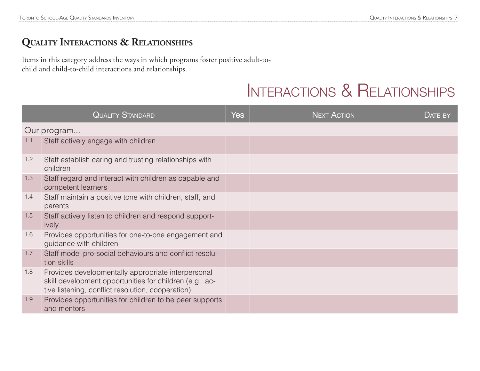#### **Quality Interactions & Relationships**

Items in this category address the ways in which programs foster positive adult-tochild and child-to-child interactions and relationships.

### Interactions & Relationships

|     | <b>QUALITY STANDARD</b>                                                                                                                                            | <b>Yes</b> | <b>NEXT ACTION</b> | $DATE$ BY |
|-----|--------------------------------------------------------------------------------------------------------------------------------------------------------------------|------------|--------------------|-----------|
|     | Our program                                                                                                                                                        |            |                    |           |
| 1.1 | Staff actively engage with children                                                                                                                                |            |                    |           |
| 1.2 | Staff establish caring and trusting relationships with<br>children                                                                                                 |            |                    |           |
| 1.3 | Staff regard and interact with children as capable and<br>competent learners                                                                                       |            |                    |           |
| 1.4 | Staff maintain a positive tone with children, staff, and<br>parents                                                                                                |            |                    |           |
| 1.5 | Staff actively listen to children and respond support-<br>ively                                                                                                    |            |                    |           |
| 1.6 | Provides opportunities for one-to-one engagement and<br>guidance with children                                                                                     |            |                    |           |
| 1.7 | Staff model pro-social behaviours and conflict resolu-<br>tion skills                                                                                              |            |                    |           |
| 1.8 | Provides developmentally appropriate interpersonal<br>skill development opportunities for children (e.g., ac-<br>tive listening, conflict resolution, cooperation) |            |                    |           |
| 1.9 | Provides opportunities for children to be peer supports<br>and mentors                                                                                             |            |                    |           |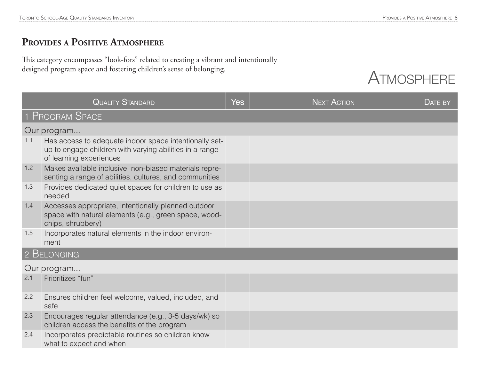#### **Provides <sup>a</sup> Positive Atmosphere**

This category encompasses "look-fors" related to creating a vibrant and intentionally designed program space and fostering children's sense of belonging.



|     | <b>QUALITY STANDARD</b>                                                                                                                      | <b>Yes</b> | <b>NEXT ACTION</b> | DATE BY |
|-----|----------------------------------------------------------------------------------------------------------------------------------------------|------------|--------------------|---------|
|     | 1 PROGRAM SPACE                                                                                                                              |            |                    |         |
|     | Our program                                                                                                                                  |            |                    |         |
| 1.1 | Has access to adequate indoor space intentionally set-<br>up to engage children with varying abilities in a range<br>of learning experiences |            |                    |         |
| 1.2 | Makes available inclusive, non-biased materials repre-<br>senting a range of abilities, cultures, and communities                            |            |                    |         |
| 1.3 | Provides dedicated quiet spaces for children to use as<br>needed                                                                             |            |                    |         |
| 1.4 | Accesses appropriate, intentionally planned outdoor<br>space with natural elements (e.g., green space, wood-<br>chips, shrubbery)            |            |                    |         |
| 1.5 | Incorporates natural elements in the indoor environ-<br>ment                                                                                 |            |                    |         |
|     | 2 BELONGING                                                                                                                                  |            |                    |         |
|     | Our program                                                                                                                                  |            |                    |         |
| 2.1 | Prioritizes "fun"                                                                                                                            |            |                    |         |
| 2.2 | Ensures children feel welcome, valued, included, and<br>safe                                                                                 |            |                    |         |
| 2.3 | Encourages regular attendance (e.g., 3-5 days/wk) so<br>children access the benefits of the program                                          |            |                    |         |
| 2.4 | Incorporates predictable routines so children know<br>what to expect and when                                                                |            |                    |         |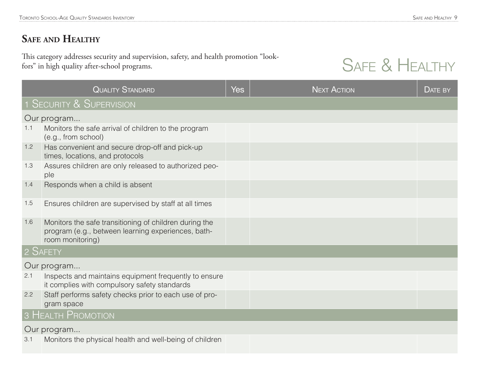#### **Safe and Healthy**

This category addresses security and supervision, safety, and health promotion "lookfors" in high quality after-school programs.

### SAFE & HEALTHY

|     | <b>QUALITY STANDARD</b>                                                                                                          | <b>Yes</b> | <b>NEXT ACTION</b> | DATE BY |
|-----|----------------------------------------------------------------------------------------------------------------------------------|------------|--------------------|---------|
|     | 1 SECURITY & SUPERVISION                                                                                                         |            |                    |         |
|     | Our program                                                                                                                      |            |                    |         |
| 1.1 | Monitors the safe arrival of children to the program<br>(e.g., from school)                                                      |            |                    |         |
| 1.2 | Has convenient and secure drop-off and pick-up<br>times, locations, and protocols                                                |            |                    |         |
| 1.3 | Assures children are only released to authorized peo-<br>ple                                                                     |            |                    |         |
| 1.4 | Responds when a child is absent                                                                                                  |            |                    |         |
| 1.5 | Ensures children are supervised by staff at all times                                                                            |            |                    |         |
| 1.6 | Monitors the safe transitioning of children during the<br>program (e.g., between learning experiences, bath-<br>room monitoring) |            |                    |         |
|     | 2 SAFETY                                                                                                                         |            |                    |         |
|     | Our program                                                                                                                      |            |                    |         |
| 2.1 | Inspects and maintains equipment frequently to ensure<br>it complies with compulsory safety standards                            |            |                    |         |
| 2.2 | Staff performs safety checks prior to each use of pro-<br>gram space                                                             |            |                    |         |
|     | 3 HEALTH PROMOTION                                                                                                               |            |                    |         |
|     | Our program                                                                                                                      |            |                    |         |
| 3.1 | Monitors the physical health and well-being of children                                                                          |            |                    |         |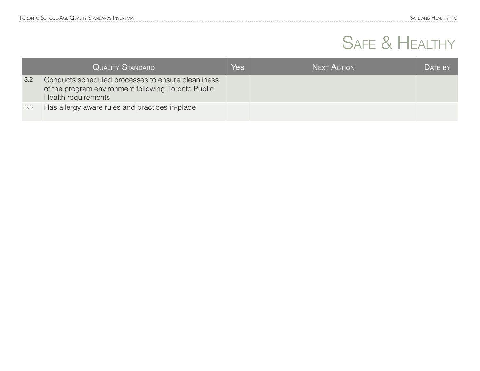# SAFE & HEALTHY

|     | <b>QUALITY STANDARD</b>                                                                                                          | Yes | <b>NEXT ACTION</b> | DATE BY |
|-----|----------------------------------------------------------------------------------------------------------------------------------|-----|--------------------|---------|
| 3.2 | Conducts scheduled processes to ensure cleanliness<br>of the program environment following Toronto Public<br>Health requirements |     |                    |         |
| 3.3 | Has allergy aware rules and practices in-place                                                                                   |     |                    |         |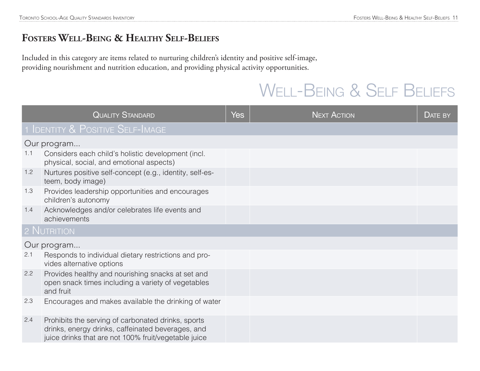#### **Fosters Well-Being & Healthy Self-Beliefs**

Included in this category are items related to nurturing children's identity and positive self-image, providing nourishment and nutrition education, and providing physical activity opportunities.

### WELL-BEING & SELF BELIEFS

|     | <b>QUALITY STANDARD</b>                                                                                                                                         | <b>Yes</b> | <b>NEXT ACTION</b> | DATE BY |
|-----|-----------------------------------------------------------------------------------------------------------------------------------------------------------------|------------|--------------------|---------|
|     | 1 IDENTITY & POSITIVE SELF-IMAGE                                                                                                                                |            |                    |         |
|     | Our program                                                                                                                                                     |            |                    |         |
| 1.1 | Considers each child's holistic development (incl.<br>physical, social, and emotional aspects)                                                                  |            |                    |         |
| 1.2 | Nurtures positive self-concept (e.g., identity, self-es-<br>teem, body image)                                                                                   |            |                    |         |
| 1.3 | Provides leadership opportunities and encourages<br>children's autonomy                                                                                         |            |                    |         |
| 1.4 | Acknowledges and/or celebrates life events and<br>achievements                                                                                                  |            |                    |         |
|     | 2 NUTRITION                                                                                                                                                     |            |                    |         |
|     | Our program                                                                                                                                                     |            |                    |         |
| 2.1 | Responds to individual dietary restrictions and pro-<br>vides alternative options                                                                               |            |                    |         |
| 2.2 | Provides healthy and nourishing snacks at set and<br>open snack times including a variety of vegetables<br>and fruit                                            |            |                    |         |
| 2.3 | Encourages and makes available the drinking of water                                                                                                            |            |                    |         |
| 2.4 | Prohibits the serving of carbonated drinks, sports<br>drinks, energy drinks, caffeinated beverages, and<br>juice drinks that are not 100% fruit/vegetable juice |            |                    |         |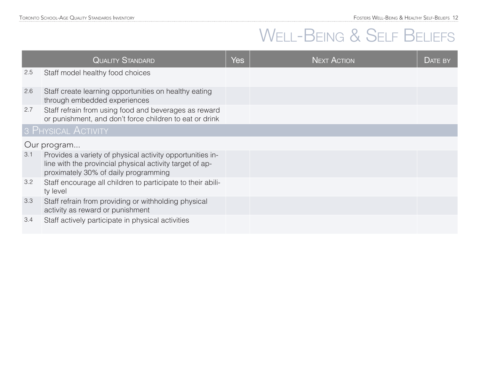## WELL-BEING & SELF BELIEFS

|     | <b>QUALITY STANDARD</b>                                                                                                                                       | Yes | <b>NEXT ACTION</b> | DATE BY |
|-----|---------------------------------------------------------------------------------------------------------------------------------------------------------------|-----|--------------------|---------|
| 2.5 | Staff model healthy food choices                                                                                                                              |     |                    |         |
| 2.6 | Staff create learning opportunities on healthy eating<br>through embedded experiences                                                                         |     |                    |         |
| 2.7 | Staff refrain from using food and beverages as reward<br>or punishment, and don't force children to eat or drink                                              |     |                    |         |
|     | 3 PHYSICAL ACTIVITY                                                                                                                                           |     |                    |         |
|     | Our program                                                                                                                                                   |     |                    |         |
| 3.1 | Provides a variety of physical activity opportunities in-<br>line with the provincial physical activity target of ap-<br>proximately 30% of daily programming |     |                    |         |
| 3.2 | Staff encourage all children to participate to their abili-<br>ty level                                                                                       |     |                    |         |
| 3.3 | Staff refrain from providing or withholding physical<br>activity as reward or punishment                                                                      |     |                    |         |
| 3.4 | Staff actively participate in physical activities                                                                                                             |     |                    |         |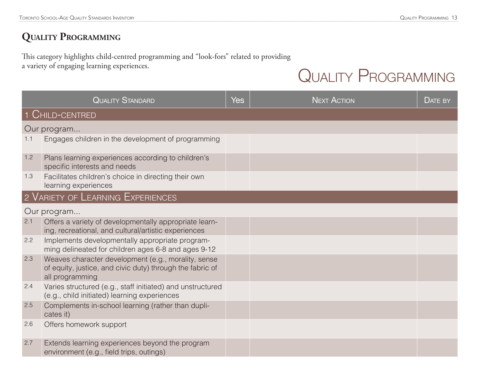#### **Quality Programming**

This category highlights child-centred programming and "look-fors" related to providing a variety of engaging learning experiences.

### QUALITY PROGRAMMING

|     | <b>QUALITY STANDARD</b>                                                                                                             | <b>Yes</b> | <b>NEXT ACTION</b> | DATE BY |
|-----|-------------------------------------------------------------------------------------------------------------------------------------|------------|--------------------|---------|
|     | 1 CHILD-CENTRED                                                                                                                     |            |                    |         |
|     | Our program                                                                                                                         |            |                    |         |
| 1.1 | Engages children in the development of programming                                                                                  |            |                    |         |
| 1.2 | Plans learning experiences according to children's<br>specific interests and needs                                                  |            |                    |         |
| 1.3 | Facilitates children's choice in directing their own<br>learning experiences                                                        |            |                    |         |
|     | 2 VARIETY OF LEARNING EXPERIENCES                                                                                                   |            |                    |         |
|     | Our program                                                                                                                         |            |                    |         |
| 2.1 | Offers a variety of developmentally appropriate learn-<br>ing, recreational, and cultural/artistic experiences                      |            |                    |         |
| 2.2 | Implements developmentally appropriate program-<br>ming delineated for children ages 6-8 and ages 9-12                              |            |                    |         |
| 2.3 | Weaves character development (e.g., morality, sense<br>of equity, justice, and civic duty) through the fabric of<br>all programming |            |                    |         |
| 2.4 | Varies structured (e.g., staff initiated) and unstructured<br>(e.g., child initiated) learning experiences                          |            |                    |         |
| 2.5 | Complements in-school learning (rather than dupli-<br>cates it)                                                                     |            |                    |         |
| 2.6 | Offers homework support                                                                                                             |            |                    |         |
| 2.7 | Extends learning experiences beyond the program<br>environment (e.g., field trips, outings)                                         |            |                    |         |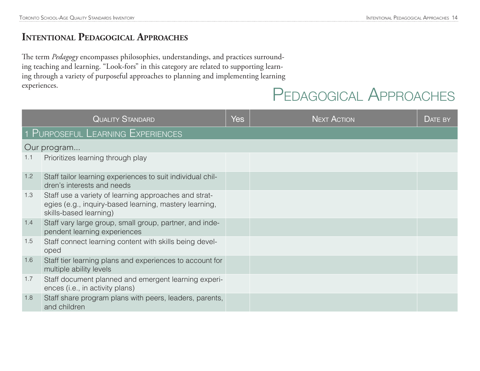#### **Intentional Pedagogical Approaches**

The term *Pedagogy* encompasses philosophies, understandings, and practices surrounding teaching and learning. "Look-fors" in this category are related to supporting learning through a variety of purposeful approaches to planning and implementing learning experiences.

### Pedagogical Approaches

|     | <b>QUALITY STANDARD</b>                                                                                                                   | <b>Yes</b> | <b>NEXT ACTION</b> | <b>DATE BY</b> |
|-----|-------------------------------------------------------------------------------------------------------------------------------------------|------------|--------------------|----------------|
|     | 1 PURPOSEFUL LEARNING EXPERIENCES                                                                                                         |            |                    |                |
|     | Our program                                                                                                                               |            |                    |                |
| 1.1 | Prioritizes learning through play                                                                                                         |            |                    |                |
| 1.2 | Staff tailor learning experiences to suit individual chil-<br>dren's interests and needs                                                  |            |                    |                |
| 1.3 | Staff use a variety of learning approaches and strat-<br>egies (e.g., inquiry-based learning, mastery learning,<br>skills-based learning) |            |                    |                |
| 1.4 | Staff vary large group, small group, partner, and inde-<br>pendent learning experiences                                                   |            |                    |                |
| 1.5 | Staff connect learning content with skills being devel-<br>oped                                                                           |            |                    |                |
| 1.6 | Staff tier learning plans and experiences to account for<br>multiple ability levels                                                       |            |                    |                |
| 1.7 | Staff document planned and emergent learning experi-<br>ences (i.e., in activity plans)                                                   |            |                    |                |
| 1.8 | Staff share program plans with peers, leaders, parents,<br>and children                                                                   |            |                    |                |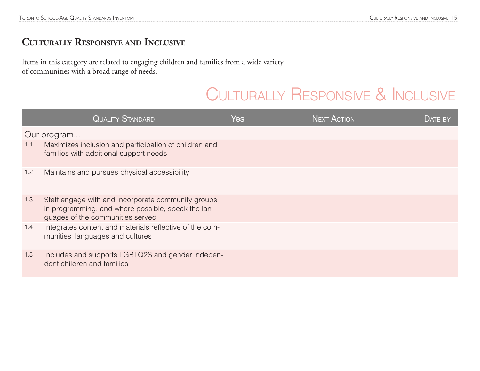#### **Culturally Responsive and Inclusive**

Items in this category are related to engaging children and families from a wide variety of communities with a broad range of needs.

### Culturally Responsive & Inclusive

|             | <b>QUALITY STANDARD</b>                                                                                                                      | <b>Yes</b> | <b>NEXT ACTION</b> | DATE BY |
|-------------|----------------------------------------------------------------------------------------------------------------------------------------------|------------|--------------------|---------|
| Our program |                                                                                                                                              |            |                    |         |
| 1.1         | Maximizes inclusion and participation of children and<br>families with additional support needs                                              |            |                    |         |
| 1.2         | Maintains and pursues physical accessibility                                                                                                 |            |                    |         |
| 1.3         | Staff engage with and incorporate community groups<br>in programming, and where possible, speak the lan-<br>guages of the communities served |            |                    |         |
| 1.4         | Integrates content and materials reflective of the com-<br>munities' languages and cultures                                                  |            |                    |         |
| 1.5         | Includes and supports LGBTQ2S and gender indepen-<br>dent children and families                                                              |            |                    |         |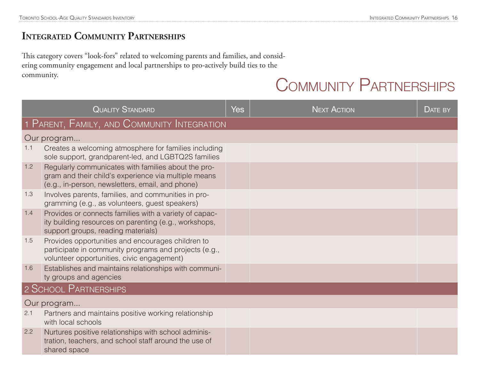#### **Integrated Community Partnerships**

This category covers "look-fors" related to welcoming parents and families, and considering community engagement and local partnerships to pro-actively build ties to the community.

### Community Partnerships

| <b>QUALITY STANDARD</b> |                                                                                                                                                                 | <b>Yes</b> | <b>NEXT ACTION</b> | DATE BY |  |  |
|-------------------------|-----------------------------------------------------------------------------------------------------------------------------------------------------------------|------------|--------------------|---------|--|--|
|                         | 1 PARENT, FAMILY, AND COMMUNITY INTEGRATION                                                                                                                     |            |                    |         |  |  |
|                         | Our program                                                                                                                                                     |            |                    |         |  |  |
| 1.1                     | Creates a welcoming atmosphere for families including<br>sole support, grandparent-led, and LGBTQ2S families                                                    |            |                    |         |  |  |
| 1.2                     | Regularly communicates with families about the pro-<br>gram and their child's experience via multiple means<br>(e.g., in-person, newsletters, email, and phone) |            |                    |         |  |  |
| 1.3                     | Involves parents, families, and communities in pro-<br>gramming (e.g., as volunteers, guest speakers)                                                           |            |                    |         |  |  |
| 1.4                     | Provides or connects families with a variety of capac-<br>ity building resources on parenting (e.g., workshops,<br>support groups, reading materials)           |            |                    |         |  |  |
| 1.5                     | Provides opportunities and encourages children to<br>participate in community programs and projects (e.g.,<br>volunteer opportunities, civic engagement)        |            |                    |         |  |  |
| 1.6                     | Establishes and maintains relationships with communi-<br>ty groups and agencies                                                                                 |            |                    |         |  |  |
| 2 SCHOOL PARTNERSHIPS   |                                                                                                                                                                 |            |                    |         |  |  |
| Our program             |                                                                                                                                                                 |            |                    |         |  |  |
| 2.1                     | Partners and maintains positive working relationship<br>with local schools                                                                                      |            |                    |         |  |  |
| 2.2                     | Nurtures positive relationships with school adminis-<br>tration, teachers, and school staff around the use of<br>shared space                                   |            |                    |         |  |  |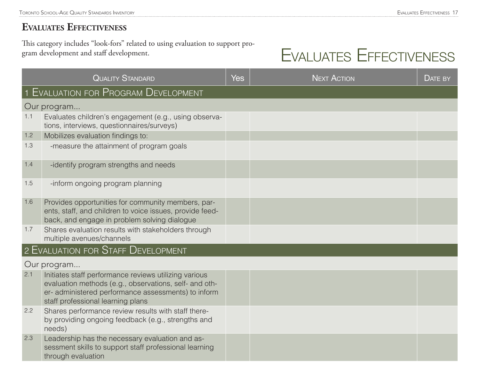#### **Evaluates Effectiveness**

This category includes "look-fors" related to using evaluation to support program development and staff development.

# Evaluates Effectiveness

| <b>QUALITY STANDARD</b>            |                                                                                                                                                                                                            | Yes | <b>NEXT ACTION</b> | <b>DATE BY</b> |
|------------------------------------|------------------------------------------------------------------------------------------------------------------------------------------------------------------------------------------------------------|-----|--------------------|----------------|
|                                    | <b>1 EVALUATION FOR PROGRAM DEVELOPMENT</b>                                                                                                                                                                |     |                    |                |
|                                    | Our program                                                                                                                                                                                                |     |                    |                |
| 1.1                                | Evaluates children's engagement (e.g., using observa-<br>tions, interviews, questionnaires/surveys)                                                                                                        |     |                    |                |
| 1.2                                | Mobilizes evaluation findings to:                                                                                                                                                                          |     |                    |                |
| 1.3                                | -measure the attainment of program goals                                                                                                                                                                   |     |                    |                |
| 1.4                                | -identify program strengths and needs                                                                                                                                                                      |     |                    |                |
| 1.5                                | -inform ongoing program planning                                                                                                                                                                           |     |                    |                |
| 1.6                                | Provides opportunities for community members, par-<br>ents, staff, and children to voice issues, provide feed-<br>back, and engage in problem solving dialogue                                             |     |                    |                |
| 1.7                                | Shares evaluation results with stakeholders through<br>multiple avenues/channels                                                                                                                           |     |                    |                |
| 2 EVALUATION FOR STAFF DEVELOPMENT |                                                                                                                                                                                                            |     |                    |                |
| Our program                        |                                                                                                                                                                                                            |     |                    |                |
| 2.1                                | Initiates staff performance reviews utilizing various<br>evaluation methods (e.g., observations, self- and oth-<br>er-administered performance assessments) to inform<br>staff professional learning plans |     |                    |                |
| 2.2                                | Shares performance review results with staff there-<br>by providing ongoing feedback (e.g., strengths and<br>needs)                                                                                        |     |                    |                |
| 2.3                                | Leadership has the necessary evaluation and as-<br>sessment skills to support staff professional learning<br>through evaluation                                                                            |     |                    |                |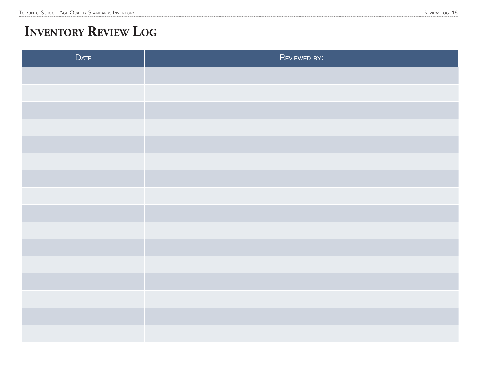### **Inventory Review Log**

| <b>DATE</b> | REVIEWED BY: |
|-------------|--------------|
|             |              |
|             |              |
|             |              |
|             |              |
|             |              |
|             |              |
|             |              |
|             |              |
|             |              |
|             |              |
|             |              |
|             |              |
|             |              |
|             |              |
|             |              |
|             |              |